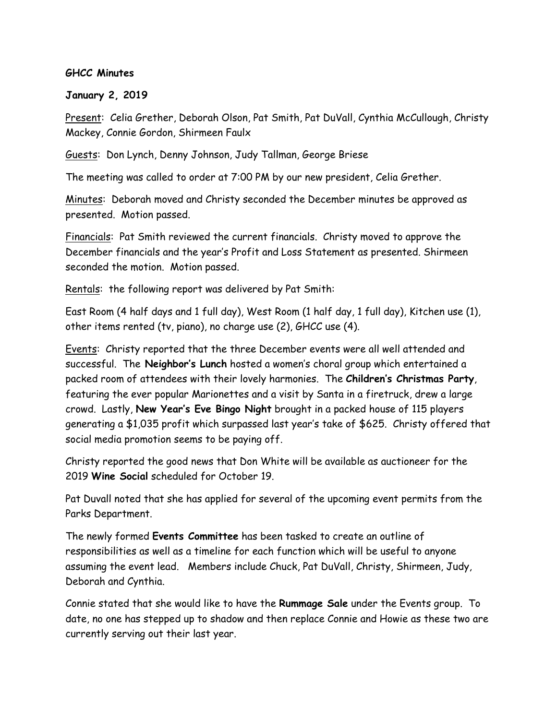## **GHCC Minutes**

## **January 2, 2019**

Present: Celia Grether, Deborah Olson, Pat Smith, Pat DuVall, Cynthia McCullough, Christy Mackey, Connie Gordon, Shirmeen Faulx

Guests: Don Lynch, Denny Johnson, Judy Tallman, George Briese

The meeting was called to order at 7:00 PM by our new president, Celia Grether.

Minutes: Deborah moved and Christy seconded the December minutes be approved as presented. Motion passed.

Financials: Pat Smith reviewed the current financials. Christy moved to approve the December financials and the year's Profit and Loss Statement as presented. Shirmeen seconded the motion. Motion passed.

Rentals: the following report was delivered by Pat Smith:

East Room (4 half days and 1 full day), West Room (1 half day, 1 full day), Kitchen use (1), other items rented (tv, piano), no charge use (2), GHCC use (4).

Events: Christy reported that the three December events were all well attended and successful. The **Neighbor's Lunch** hosted a women's choral group which entertained a packed room of attendees with their lovely harmonies. The **Children's Christmas Party**, featuring the ever popular Marionettes and a visit by Santa in a firetruck, drew a large crowd. Lastly, **New Year's Eve Bingo Night** brought in a packed house of 115 players generating a \$1,035 profit which surpassed last year's take of \$625. Christy offered that social media promotion seems to be paying off.

Christy reported the good news that Don White will be available as auctioneer for the 2019 **Wine Social** scheduled for October 19.

Pat Duvall noted that she has applied for several of the upcoming event permits from the Parks Department.

The newly formed **Events Committee** has been tasked to create an outline of responsibilities as well as a timeline for each function which will be useful to anyone assuming the event lead. Members include Chuck, Pat DuVall, Christy, Shirmeen, Judy, Deborah and Cynthia.

Connie stated that she would like to have the **Rummage Sale** under the Events group. To date, no one has stepped up to shadow and then replace Connie and Howie as these two are currently serving out their last year.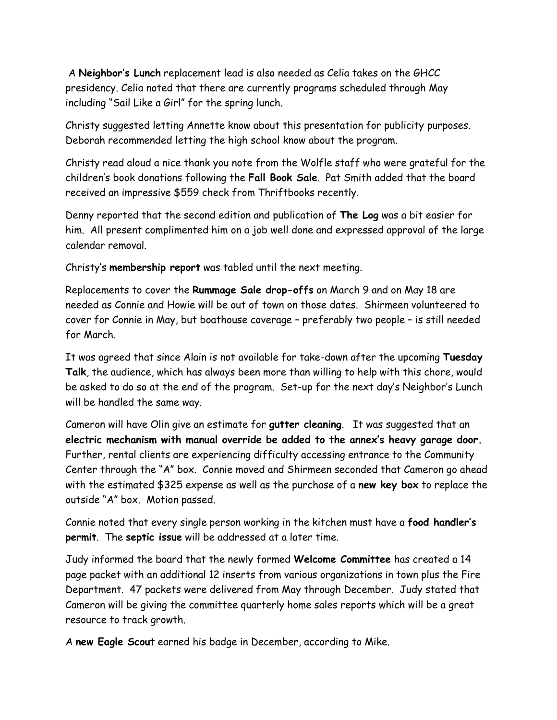A **Neighbor's Lunch** replacement lead is also needed as Celia takes on the GHCC presidency. Celia noted that there are currently programs scheduled through May including "Sail Like a Girl" for the spring lunch.

Christy suggested letting Annette know about this presentation for publicity purposes. Deborah recommended letting the high school know about the program.

Christy read aloud a nice thank you note from the Wolfle staff who were grateful for the children's book donations following the **Fall Book Sale**. Pat Smith added that the board received an impressive \$559 check from Thriftbooks recently.

Denny reported that the second edition and publication of **The Log** was a bit easier for him. All present complimented him on a job well done and expressed approval of the large calendar removal.

Christy's **membership report** was tabled until the next meeting.

Replacements to cover the **Rummage Sale drop-offs** on March 9 and on May 18 are needed as Connie and Howie will be out of town on those dates. Shirmeen volunteered to cover for Connie in May, but boathouse coverage – preferably two people – is still needed for March.

It was agreed that since Alain is not available for take-down after the upcoming **Tuesday Talk**, the audience, which has always been more than willing to help with this chore, would be asked to do so at the end of the program. Set-up for the next day's Neighbor's Lunch will be handled the same way.

Cameron will have Olin give an estimate for **gutter cleaning**. It was suggested that an **electric mechanism with manual override be added to the annex's heavy garage door.** Further, rental clients are experiencing difficulty accessing entrance to the Community Center through the "A" box. Connie moved and Shirmeen seconded that Cameron go ahead with the estimated \$325 expense as well as the purchase of a **new key box** to replace the outside "A" box. Motion passed.

Connie noted that every single person working in the kitchen must have a **food handler's permit**. The **septic issue** will be addressed at a later time.

Judy informed the board that the newly formed **Welcome Committee** has created a 14 page packet with an additional 12 inserts from various organizations in town plus the Fire Department. 47 packets were delivered from May through December. Judy stated that Cameron will be giving the committee quarterly home sales reports which will be a great resource to track growth.

A **new Eagle Scout** earned his badge in December, according to Mike.